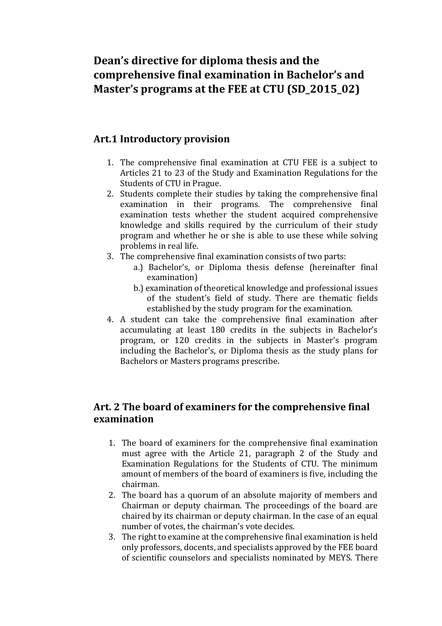# **Dean's directive for diploma thesis and the comprehensive final examination in Bachelor's and Master's programs at the FEE at CTU (SD\_2015\_02)**

# **Art.1 Introductory provision**

- 1. The comprehensive final examination at CTU FEE is a subject to Articles 21 to 23 of the Study and Examination Regulations for the Students of CTU in Prague.
- 2. Students complete their studies by taking the comprehensive final examination in their programs. The comprehensive final examination tests whether the student acquired comprehensive knowledge and skills required by the curriculum of their study program and whether he or she is able to use these while solving problems in real life.
- 3. The comprehensive final examination consists of two parts:
	- a.) Bachelor's, or Diploma thesis defense (hereinafter final examination)
	- b.) examination of theoretical knowledge and professional issues of the student's field of study. There are thematic fields established by the study program for the examination.
- 4. A student can take the comprehensive final examination after accumulating at least 180 credits in the subjects in Bachelor's program, or 120 credits in the subjects in Master's program including the Bachelor's, or Diploma thesis as the study plans for Bachelors or Masters programs prescribe.

# **Art. 2 The board of examiners for the comprehensive final examination**

- 1. The board of examiners for the comprehensive final examination must agree with the Article 21, paragraph 2 of the Study and Examination Regulations for the Students of CTU. The minimum amount of members of the board of examiners is five, including the chairman.
- 2. The board has a quorum of an absolute majority of members and Chairman or deputy chairman. The proceedings of the board are chaired by its chairman or deputy chairman. In the case of an equal number of votes, the chairman's vote decides.
- 3. The right to examine at the comprehensive final examination is held only professors, docents, and specialists approved by the FEE board of scientific counselors and specialists nominated by MEYS. There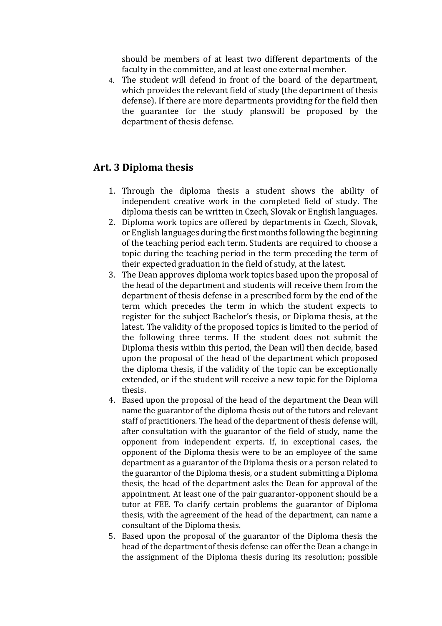should be members of at least two different departments of the faculty in the committee, and at least one external member.

4. The student will defend in front of the board of the department, which provides the relevant field of study (the department of thesis defense). If there are more departments providing for the field then the guarantee for the study planswill be proposed by the department of thesis defense.

### **Art. 3 Diploma thesis**

- 1. Through the diploma thesis a student shows the ability of independent creative work in the completed field of study. The diploma thesis can be written in Czech, Slovak or English languages.
- 2. Diploma work topics are offered by departments in Czech, Slovak, or English languages during the first months following the beginning of the teaching period each term. Students are required to choose a topic during the teaching period in the term preceding the term of their expected graduation in the field of study, at the latest.
- 3. The Dean approves diploma work topics based upon the proposal of the head of the department and students will receive them from the department of thesis defense in a prescribed form by the end of the term which precedes the term in which the student expects to register for the subject Bachelor's thesis, or Diploma thesis, at the latest. The validity of the proposed topics is limited to the period of the following three terms. If the student does not submit the Diploma thesis within this period, the Dean will then decide, based upon the proposal of the head of the department which proposed the diploma thesis, if the validity of the topic can be exceptionally extended, or if the student will receive a new topic for the Diploma thesis.
- 4. Based upon the proposal of the head of the department the Dean will name the guarantor of the diploma thesis out of the tutors and relevant staff of practitioners. The head of the department of thesis defense will, after consultation with the guarantor of the field of study, name the opponent from independent experts. If, in exceptional cases, the opponent of the Diploma thesis were to be an employee of the same department as a guarantor of the Diploma thesis or a person related to the guarantor of the Diploma thesis, or a student submitting a Diploma thesis, the head of the department asks the Dean for approval of the appointment. At least one of the pair guarantor-opponent should be a tutor at FEE. To clarify certain problems the guarantor of Diploma thesis, with the agreement of the head of the department, can name a consultant of the Diploma thesis.
- 5. Based upon the proposal of the guarantor of the Diploma thesis the head of the department of thesis defense can offer the Dean a change in the assignment of the Diploma thesis during its resolution; possible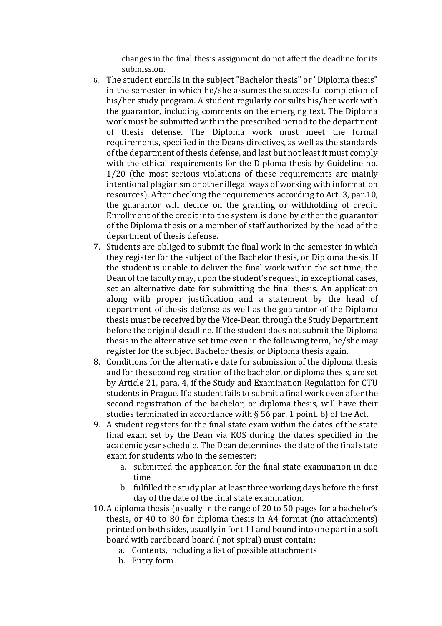changes in the final thesis assignment do not affect the deadline for its submission.

- 6. The student enrolls in the subject "Bachelor thesis" or "Diploma thesis" in the semester in which he/she assumes the successful completion of his/her study program. A student regularly consults his/her work with the guarantor, including comments on the emerging text. The Diploma work must be submitted within the prescribed period to the department of thesis defense. The Diploma work must meet the formal requirements, specified in the Deans directives, as well as the standards of the department of thesis defense, and last but not least it must comply with the ethical requirements for the Diploma thesis by Guideline no. 1/20 (the most serious violations of these requirements are mainly intentional plagiarism or other illegal ways of working with information resources). After checking the requirements according to Art. 3, par.10, the guarantor will decide on the granting or withholding of credit. Enrollment of the credit into the system is done by either the guarantor of the Diploma thesis or a member of staff authorized by the head of the department of thesis defense.
- 7. Students are obliged to submit the final work in the semester in which they register for the subject of the Bachelor thesis, or Diploma thesis. If the student is unable to deliver the final work within the set time, the Dean of the faculty may, upon the student's request, in exceptional cases, set an alternative date for submitting the final thesis. An application along with proper justification and a statement by the head of department of thesis defense as well as the guarantor of the Diploma thesis must be received by the Vice-Dean through the Study Department before the original deadline. If the student does not submit the Diploma thesis in the alternative set time even in the following term, he/she may register for the subject Bachelor thesis, or Diploma thesis again.
- 8. Conditions for the alternative date for submission of the diploma thesis and for the second registration of the bachelor, or diploma thesis, are set by Article 21, para. 4, if the Study and Examination Regulation for CTU students in Prague. If a student fails to submit a final work even after the second registration of the bachelor, or diploma thesis, will have their studies terminated in accordance with  $\S$  56 par. 1 point. b) of the Act.
- 9. A student registers for the final state exam within the dates of the state final exam set by the Dean via KOS during the dates specified in the academic year schedule. The Dean determines the date of the final state exam for students who in the semester:
	- a. submitted the application for the final state examination in due time
	- b. fulfilled the study plan at least three working days before the first day of the date of the final state examination.
- 10. A diploma thesis (usually in the range of 20 to 50 pages for a bachelor's thesis, or 40 to 80 for diploma thesis in A4 format (no attachments) printed on both sides, usually in font 11 and bound into one part in a soft board with cardboard board ( not spiral) must contain:
	- a. Contents, including a list of possible attachments
	- b. Entry form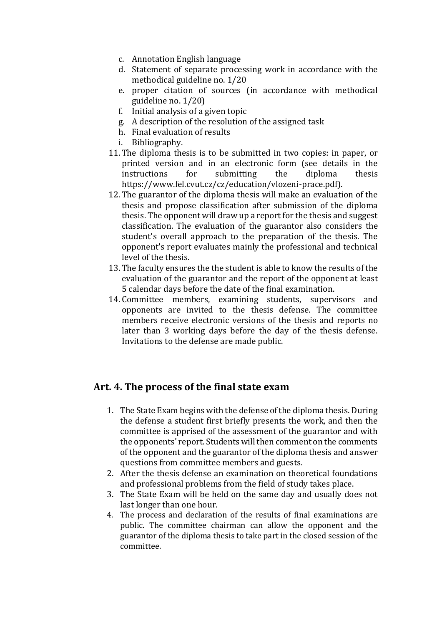- c. Annotation English language
- d. Statement of separate processing work in accordance with the methodical guideline no. 1/20
- e. proper citation of sources (in accordance with methodical guideline no. 1/20)
- f. Initial analysis of a given topic
- g. A description of the resolution of the assigned task
- h. Final evaluation of results
- i. Bibliography.
- 11. The diploma thesis is to be submitted in two copies: in paper, or printed version and in an electronic form (see details in the instructions for submitting the diploma thesis https://www.fel.cvut.cz/cz/education/vlozeni-prace.pdf).
- 12. The guarantor of the diploma thesis will make an evaluation of the thesis and propose classification after submission of the diploma thesis. The opponent will draw up a report for the thesis and suggest classification. The evaluation of the guarantor also considers the student's overall approach to the preparation of the thesis. The opponent's report evaluates mainly the professional and technical level of the thesis.
- 13. The faculty ensures the the student is able to know the results of the evaluation of the guarantor and the report of the opponent at least 5 calendar days before the date of the final examination.
- 14. Committee members, examining students, supervisors and opponents are invited to the thesis defense. The committee members receive electronic versions of the thesis and reports no later than 3 working days before the day of the thesis defense. Invitations to the defense are made public.

# **Art. 4. The process of the final state exam**

- 1. The State Exam begins with the defense of the diploma thesis. During the defense a student first briefly presents the work, and then the committee is apprised of the assessment of the guarantor and with the opponents' report. Students will then comment on the comments of the opponent and the guarantor of the diploma thesis and answer questions from committee members and guests.
- 2. After the thesis defense an examination on theoretical foundations and professional problems from the field of study takes place.
- 3. The State Exam will be held on the same day and usually does not last longer than one hour.
- 4. The process and declaration of the results of final examinations are public. The committee chairman can allow the opponent and the guarantor of the diploma thesis to take part in the closed session of the committee.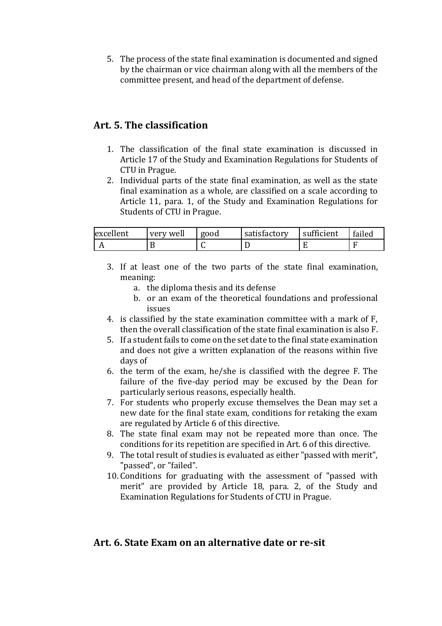5. The process of the state final examination is documented and signed by the chairman or vice chairman along with all the members of the committee present, and head of the department of defense.

# **Art. 5. The classification**

- 1. The classification of the final state examination is discussed in Article 17 of the Study and Examination Regulations for Students of CTU in Prague.
- 2. Individual parts of the state final examination, as well as the state final examination as a whole, are classified on a scale according to Article 11, para. 1, of the Study and Examination Regulations for Students of CTU in Prague.

| excellent | very well | good | satisfactory | sufficient | failed |
|-----------|-----------|------|--------------|------------|--------|
|           |           | . .  |              |            |        |

- 3. If at least one of the two parts of the state final examination, meaning:
	- a. the diploma thesis and its defense
	- b. or an exam of the theoretical foundations and professional issues
- 4. is classified by the state examination committee with a mark of F, then the overall classification of the state final examination is also F.
- 5. If a student fails to come on the set date to the final state examination and does not give a written explanation of the reasons within five days of
- 6. the term of the exam, he/she is classified with the degree F. The failure of the five-day period may be excused by the Dean for particularly serious reasons, especially health.
- 7. For students who properly excuse themselves the Dean may set a new date for the final state exam, conditions for retaking the exam are regulated by Article 6 of this directive.
- 8. The state final exam may not be repeated more than once. The conditions for its repetition are specified in Art. 6 of this directive.
- 9. The total result of studies is evaluated as either "passed with merit", "passed", or "failed".
- 10. Conditions for graduating with the assessment of "passed with merit" are provided by Article 18, para. 2, of the Study and Examination Regulations for Students of CTU in Prague.

# **Art. 6. State Exam on an alternative date or re-sit**